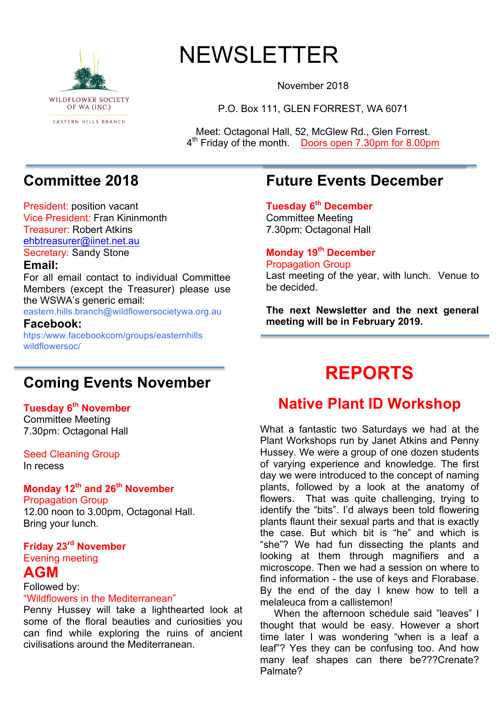

# NEWSLETTER

November 2018

P.O. Box 111, GLEN FORREST, WA 6071

Meet: Octagonal Hall, 52, McGlew Rd., Glen Forrest. 4th Friday of the month. Doors open 7.30pm for 8.00pm

## **Committee 2018**

President: position vacant Vice President: Fran Kininmonth Treasurer: Robert Atkins ehbtreasurer@iinet.net.au Secretary: Sandy Stone

#### **Email:**

For all email contact to individual Committee Members (except the Treasurer) please use the WSWA's generic email:

eastern.hills.branch@wildflowersocietywa.org.au

**Facebook:** htps:/www.facebookcom/groups/easternhills wildflowersoc/

### **Coming Events November**

#### **Tuesday 6th November**

Committee Meeting 7.30pm: Octagonal Hall

Seed Cleaning Group In recess

#### **Monday 12th and 26th November** Propagation Group

12.00 noon to 3.00pm, Octagonal Hall. Bring your lunch.

#### **Friday 23rd November** Evening meeting

### **AGM**

Followed by:

#### "Wildflowers in the Mediterranean"

Penny Hussey will take a lighthearted look at some of the floral beauties and curiosities you can find while exploring the ruins of ancient civilisations around the Mediterranean.

### **Future Events December**

**Tuesday 6th December** Committee Meeting 7.30pm: Octagonal Hall

#### **Monday 19th December** Propagation Group

Last meeting of the year, with lunch. Venue to be decided.

**The next Newsletter and the next general meeting will be in February 2019.**

## **REPORTS**

### **Native Plant ID Workshop**

What a fantastic two Saturdays we had at the Plant Workshops run by Janet Atkins and Penny Hussey. We were a group of one dozen students of varying experience and knowledge. The first day we were introduced to the concept of naming plants, followed by a look at the anatomy of flowers. That was quite challenging, trying to identify the "bits". I'd always been told flowering plants flaunt their sexual parts and that is exactly the case. But which bit is "he" and which is "she"? We had fun dissecting the plants and looking at them through magnifiers and a microscope. Then we had a session on where to find information - the use of keys and Florabase. By the end of the day I knew how to tell a melaleuca from a callistemon!

 When the afternoon schedule said "leaves" I thought that would be easy. However a short time later I was wondering "when is a leaf a leaf"? Yes they can be confusing too. And how many leaf shapes can there be???Crenate? Palmate?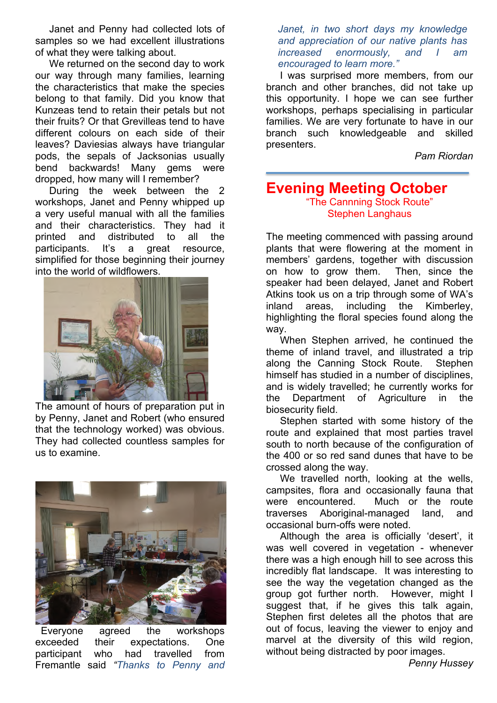Janet and Penny had collected lots of samples so we had excellent illustrations of what they were talking about.

 We returned on the second day to work our way through many families, learning the characteristics that make the species belong to that family. Did you know that Kunzeas tend to retain their petals but not their fruits? Or that Grevilleas tend to have different colours on each side of their leaves? Daviesias always have triangular pods, the sepals of Jacksonias usually bend backwards! Many gems were dropped, how many will I remember?

 During the week between the 2 workshops, Janet and Penny whipped up a very useful manual with all the families and their characteristics. They had it printed and distributed to all the participants. It's a great resource, simplified for those beginning their journey into the world of wildflowers.



 The amount of hours of preparation put in by Penny, Janet and Robert (who ensured that the technology worked) was obvious. They had collected countless samples for us to examine.



 Everyone agreed the workshops exceeded their expectations. One participant who had travelled from Fremantle said *"Thanks to Penny and* 

*Janet, in two short days my knowledge and appreciation of our native plants has increased enormously, and I am encouraged to learn more."*

 I was surprised more members, from our branch and other branches, did not take up this opportunity. I hope we can see further workshops, perhaps specialising in particular families. We are very fortunate to have in our branch such knowledgeable and skilled presenters.

*Pam Riordan*

#### **Evening Meeting October** "The Cannning Stock Route" Stephen Langhaus

The meeting commenced with passing around plants that were flowering at the moment in members' gardens, together with discussion on how to grow them. Then, since the speaker had been delayed, Janet and Robert Atkins took us on a trip through some of WA's inland areas, including the Kimberley, highlighting the floral species found along the way.

 When Stephen arrived, he continued the theme of inland travel, and illustrated a trip along the Canning Stock Route. Stephen himself has studied in a number of disciplines, and is widely travelled; he currently works for the Department of Agriculture in the biosecurity field.

 Stephen started with some history of the route and explained that most parties travel south to north because of the configuration of the 400 or so red sand dunes that have to be crossed along the way.

 We travelled north, looking at the wells, campsites, flora and occasionally fauna that were encountered. Much or the route traverses Aboriginal-managed land, and occasional burn-offs were noted.

 Although the area is officially 'desert', it was well covered in vegetation - whenever there was a high enough hill to see across this incredibly flat landscape. It was interesting to see the way the vegetation changed as the group got further north. However, might I suggest that, if he gives this talk again, Stephen first deletes all the photos that are out of focus, leaving the viewer to enjoy and marvel at the diversity of this wild region, without being distracted by poor images.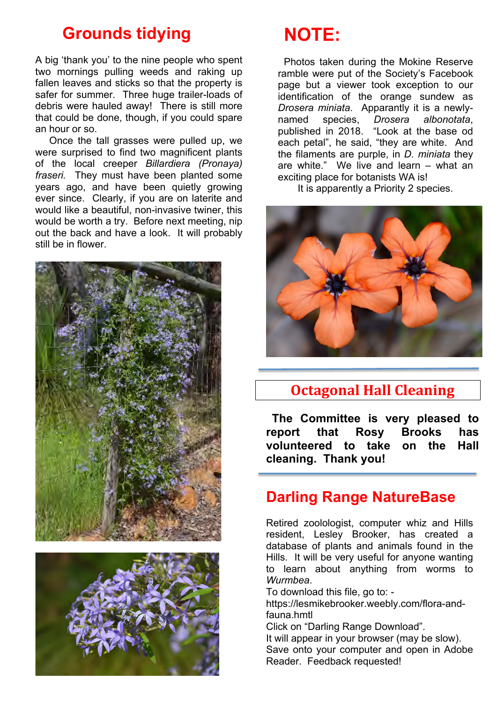## **Grounds tidying**

A big 'thank you' to the nine people who spent two mornings pulling weeds and raking up fallen leaves and sticks so that the property is safer for summer. Three huge trailer-loads of debris were hauled away! There is still more that could be done, though, if you could spare an hour or so.

 Once the tall grasses were pulled up, we were surprised to find two magnificent plants of the local creeper *Billardiera (Pronaya) fraseri.* They must have been planted some years ago, and have been quietly growing ever since. Clearly, if you are on laterite and would like a beautiful, non-invasive twiner, this would be worth a try. Before next meeting, nip out the back and have a look. It will probably still be in flower.





## **NOTE:**

Photos taken during the Mokine Reserve ramble were put of the Society's Facebook page but a viewer took exception to our identification of the orange sundew as *Drosera miniata*. Apparantly it is a newlynamed species, *Drosera albonotata*, published in 2018. "Look at the base od each petal", he said, "they are white. And the filaments are purple, in *D. miniata* they are white." We live and learn – what an exciting place for botanists WA is!

It is apparently a Priority 2 species.



## **Octagonal Hall Cleaning**

**The Committee is very pleased to report that Rosy Brooks has volunteered to take on the Hall cleaning. Thank you!**

### **Darling Range NatureBase**

Retired zoolologist, computer whiz and Hills resident, Lesley Brooker, has created a database of plants and animals found in the Hills. It will be very useful for anyone wanting to learn about anything from worms to *Wurmbea*.

To download this file, go to: -

https://lesmikebrooker.weebly.com/flora-andfauna.hmtl

Click on "Darling Range Download".

It will appear in your browser (may be slow). Save onto your computer and open in Adobe Reader. Feedback requested!